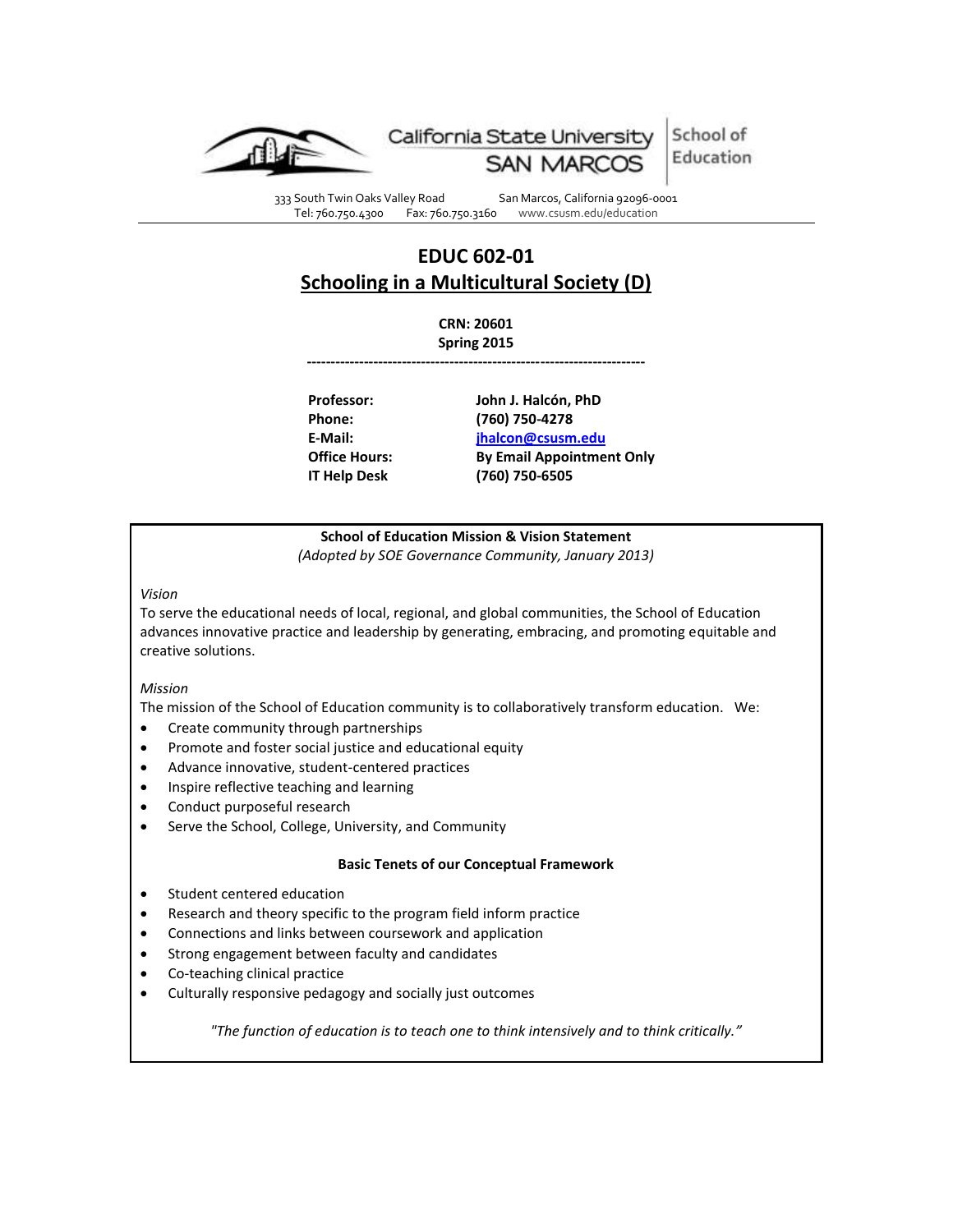

333 South Twin Oaks Valley Road San Marcos, California 92096-0001<br>Tel: 760.750.4300 Fax: 760.750.3160 www.csusm.edu/education Tel: 760.750.4300 Fax: 760.750.3160 www.csusm.edu/education

# **EDUC 602-01 Schooling in a Multicultural Society (D)**

**CRN: 20601 Spring 2015**

**-----------------------------------------------------------------------**

**Professor: John J. Halcón, PhD Phone: (760) 750-4278 E-Mail: [jhalcon@csusm.edu](mailto:jhalcon@csusm.edu) Office Hours: By Email Appointment Only IT Help Desk (760) 750-6505**

**School of Education Mission & Vision Statement** *(Adopted by SOE Governance Community, January 2013)*

*Vision*

To serve the educational needs of local, regional, and global communities, the School of Education advances innovative practice and leadership by generating, embracing, and promoting equitable and creative solutions.

*Mission*

The mission of the School of Education community is to collaboratively transform education. We:

- Create community through partnerships
- Promote and foster social justice and educational equity
- Advance innovative, student-centered practices
- Inspire reflective teaching and learning
- Conduct purposeful research
- Serve the School, College, University, and Community

# **Basic Tenets of our Conceptual Framework**

- Student centered education
- Research and theory specific to the program field inform practice
- Connections and links between coursework and application
- Strong engagement between faculty and candidates
- Co-teaching clinical practice
- Culturally responsive pedagogy and socially just outcomes

*"The function of education is to teach one to think intensively and to think critically."*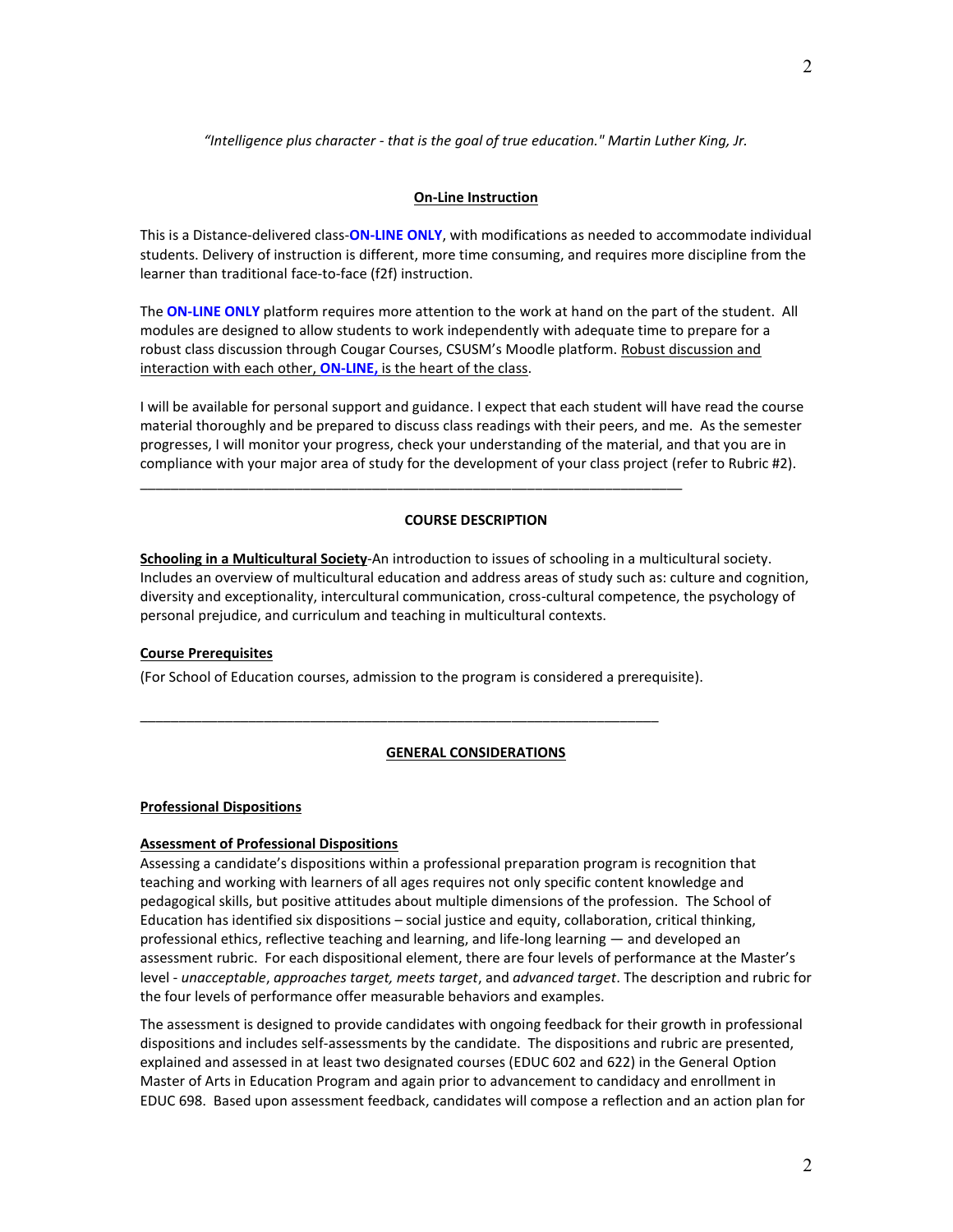*"Intelligence plus character - that is the goal of true education." Martin Luther King, Jr.*

# **On-Line Instruction**

This is a Distance-delivered class-**ON-LINE ONLY**, with modifications as needed to accommodate individual students. Delivery of instruction is different, more time consuming, and requires more discipline from the learner than traditional face-to-face (f2f) instruction.

The **ON-LINE ONLY** platform requires more attention to the work at hand on the part of the student. All modules are designed to allow students to work independently with adequate time to prepare for a robust class discussion through Cougar Courses, CSUSM's Moodle platform. Robust discussion and interaction with each other, **ON-LINE,** is the heart of the class.

I will be available for personal support and guidance. I expect that each student will have read the course material thoroughly and be prepared to discuss class readings with their peers, and me. As the semester progresses, I will monitor your progress, check your understanding of the material, and that you are in compliance with your major area of study for the development of your class project (refer to Rubric #2).

### **COURSE DESCRIPTION**

**Schooling in a Multicultural Society**-An introduction to issues of schooling in a multicultural society. Includes an overview of multicultural education and address areas of study such as: culture and cognition, diversity and exceptionality, intercultural communication, cross-cultural competence, the psychology of personal prejudice, and curriculum and teaching in multicultural contexts.

#### **Course Prerequisites**

(For School of Education courses, admission to the program is considered a prerequisite).

\_\_\_\_\_\_\_\_\_\_\_\_\_\_\_\_\_\_\_\_\_\_\_\_\_\_\_\_\_\_\_\_\_\_\_\_\_\_\_\_\_\_\_\_\_\_\_\_\_\_\_\_\_\_\_\_\_\_\_\_\_\_\_\_\_\_\_

\_\_\_\_\_\_\_\_\_\_\_\_\_\_\_\_\_\_\_\_\_\_\_\_\_\_\_\_\_\_\_\_\_\_\_\_\_\_\_\_\_\_\_\_\_\_\_\_\_\_\_\_\_\_\_\_\_\_\_\_\_\_\_\_\_\_\_\_\_\_

#### **GENERAL CONSIDERATIONS**

#### **Professional Dispositions**

#### **Assessment of Professional Dispositions**

Assessing a candidate's dispositions within a professional preparation program is recognition that teaching and working with learners of all ages requires not only specific content knowledge and pedagogical skills, but positive attitudes about multiple dimensions of the profession. The School of Education has identified six dispositions – social justice and equity, collaboration, critical thinking, professional ethics, reflective teaching and learning, and life-long learning — and developed an assessment rubric. For each dispositional element, there are four levels of performance at the Master's level - *unacceptable*, *approaches target, meets target*, and *advanced target*. The description and rubric for the four levels of performance offer measurable behaviors and examples.

The assessment is designed to provide candidates with ongoing feedback for their growth in professional dispositions and includes self-assessments by the candidate. The dispositions and rubric are presented, explained and assessed in at least two designated courses (EDUC 602 and 622) in the General Option Master of Arts in Education Program and again prior to advancement to candidacy and enrollment in EDUC 698. Based upon assessment feedback, candidates will compose a reflection and an action plan for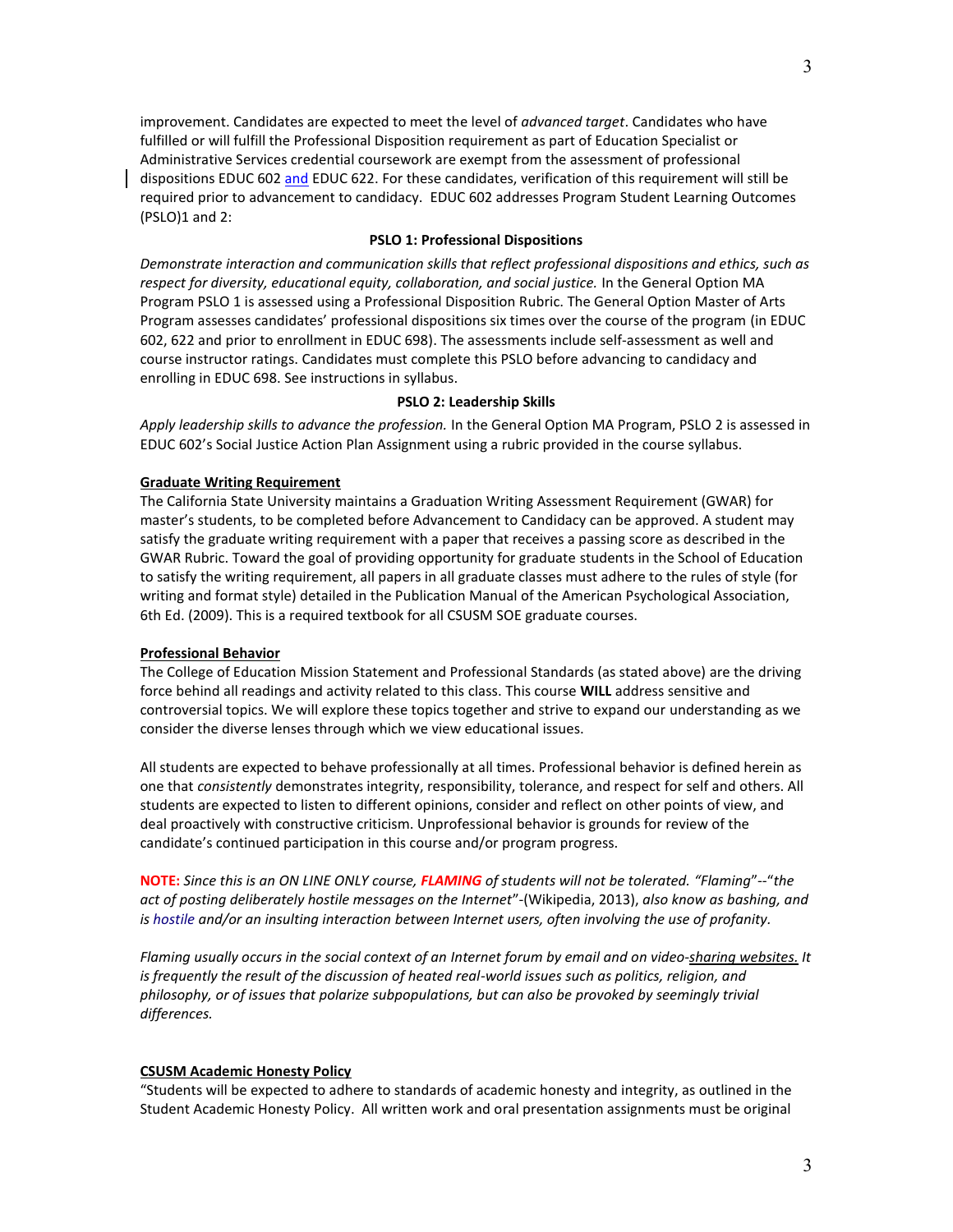improvement. Candidates are expected to meet the level of *advanced target*. Candidates who have fulfilled or will fulfill the Professional Disposition requirement as part of Education Specialist or Administrative Services credential coursework are exempt from the assessment of professional dispositions EDUC 602 and EDUC 622. For these candidates, verification of this requirement will still be required prior to advancement to candidacy. EDUC 602 addresses Program Student Learning Outcomes (PSLO)1 and 2:

# **PSLO 1: Professional Dispositions**

*Demonstrate interaction and communication skills that reflect professional dispositions and ethics, such as respect for diversity, educational equity, collaboration, and social justice.* In the General Option MA Program PSLO 1 is assessed using a Professional Disposition Rubric. The General Option Master of Arts Program assesses candidates' professional dispositions six times over the course of the program (in EDUC 602, 622 and prior to enrollment in EDUC 698). The assessments include self-assessment as well and course instructor ratings. Candidates must complete this PSLO before advancing to candidacy and enrolling in EDUC 698. See instructions in syllabus.

## **PSLO 2: Leadership Skills**

*Apply leadership skills to advance the profession.* In the General Option MA Program, PSLO 2 is assessed in EDUC 602's Social Justice Action Plan Assignment using a rubric provided in the course syllabus.

### **Graduate Writing Requirement**

The California State University maintains a Graduation Writing Assessment Requirement (GWAR) for master's students, to be completed before Advancement to Candidacy can be approved. A student may satisfy the graduate writing requirement with a paper that receives a passing score as described in the GWAR Rubric. Toward the goal of providing opportunity for graduate students in the School of Education to satisfy the writing requirement, all papers in all graduate classes must adhere to the rules of style (for writing and format style) detailed in the Publication Manual of the American Psychological Association, 6th Ed. (2009). This is a required textbook for all CSUSM SOE graduate courses.

#### **Professional Behavior**

The College of Education Mission Statement and Professional Standards (as stated above) are the driving force behind all readings and activity related to this class. This course **WILL** address sensitive and controversial topics. We will explore these topics together and strive to expand our understanding as we consider the diverse lenses through which we view educational issues.

All students are expected to behave professionally at all times. Professional behavior is defined herein as one that *consistently* demonstrates integrity, responsibility, tolerance, and respect for self and others. All students are expected to listen to different opinions, consider and reflect on other points of view, and deal proactively with constructive criticism. Unprofessional behavior is grounds for review of the candidate's continued participation in this course and/or program progress.

**NOTE:** *Since this is an ON LINE ONLY course, FLAMING of students will not be tolerated. "Flaming*"--"*the act of posting deliberately hostile messages on the Internet*"-(Wikipedia, 2013), *also know as bashing, and is [hostile](http://en.wikipedia.org/wiki/Hostile) and/or an insulting interaction between Internet users, often involving the use of [profanity.](http://en.wikipedia.org/wiki/Profanity)* 

*Flaming usually occurs in the social context of an Internet forum by email and on [video-sharing websites.](http://en.wikipedia.org/wiki/Video_hosting_service) It is frequently the result of the discussion of heated real-world issues such as politics, religion, and philosophy, or of issues that polarize subpopulations, but can also be provoked by seemingly trivial differences.*

#### **CSUSM Academic Honesty Policy**

"Students will be expected to adhere to standards of academic honesty and integrity, as outlined in the Student Academic Honesty Policy. All written work and oral presentation assignments must be original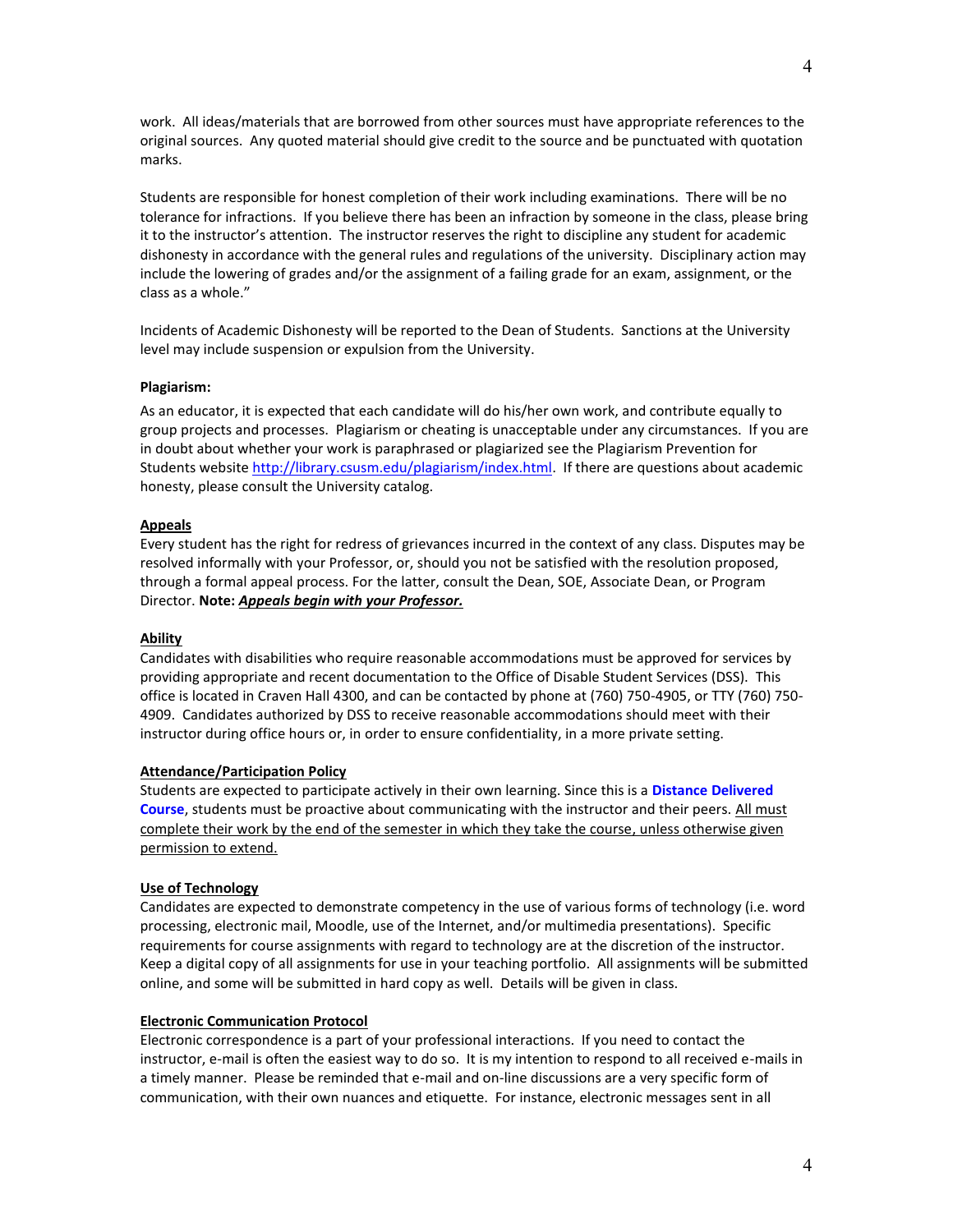work. All ideas/materials that are borrowed from other sources must have appropriate references to the original sources. Any quoted material should give credit to the source and be punctuated with quotation marks.

Students are responsible for honest completion of their work including examinations. There will be no tolerance for infractions. If you believe there has been an infraction by someone in the class, please bring it to the instructor's attention. The instructor reserves the right to discipline any student for academic dishonesty in accordance with the general rules and regulations of the university. Disciplinary action may include the lowering of grades and/or the assignment of a failing grade for an exam, assignment, or the class as a whole."

Incidents of Academic Dishonesty will be reported to the Dean of Students. Sanctions at the University level may include suspension or expulsion from the University.

#### **Plagiarism:**

As an educator, it is expected that each candidate will do his/her own work, and contribute equally to group projects and processes. Plagiarism or cheating is unacceptable under any circumstances. If you are in doubt about whether your work is paraphrased or plagiarized see the Plagiarism Prevention for Students website [http://library.csusm.edu/plagiarism/index.html.](http://library.csusm.edu/plagiarism/index.html) If there are questions about academic honesty, please consult the University catalog.

#### **Appeals**

Every student has the right for redress of grievances incurred in the context of any class. Disputes may be resolved informally with your Professor, or, should you not be satisfied with the resolution proposed, through a formal appeal process. For the latter, consult the Dean, SOE, Associate Dean, or Program Director. **Note:** *Appeals begin with your Professor.*

# **Ability**

Candidates with disabilities who require reasonable accommodations must be approved for services by providing appropriate and recent documentation to the Office of Disable Student Services (DSS). This office is located in Craven Hall 4300, and can be contacted by phone at (760) 750-4905, or TTY (760) 750- 4909. Candidates authorized by DSS to receive reasonable accommodations should meet with their instructor during office hours or, in order to ensure confidentiality, in a more private setting.

# **Attendance/Participation Policy**

Students are expected to participate actively in their own learning. Since this is a **Distance Delivered Course**, students must be proactive about communicating with the instructor and their peers. All must complete their work by the end of the semester in which they take the course, unless otherwise given permission to extend.

# **Use of Technology**

Candidates are expected to demonstrate competency in the use of various forms of technology (i.e. word processing, electronic mail, Moodle, use of the Internet, and/or multimedia presentations). Specific requirements for course assignments with regard to technology are at the discretion of the instructor. Keep a digital copy of all assignments for use in your teaching portfolio. All assignments will be submitted online, and some will be submitted in hard copy as well. Details will be given in class.

#### **Electronic Communication Protocol**

Electronic correspondence is a part of your professional interactions. If you need to contact the instructor, e-mail is often the easiest way to do so. It is my intention to respond to all received e-mails in a timely manner. Please be reminded that e-mail and on-line discussions are a very specific form of communication, with their own nuances and etiquette. For instance, electronic messages sent in all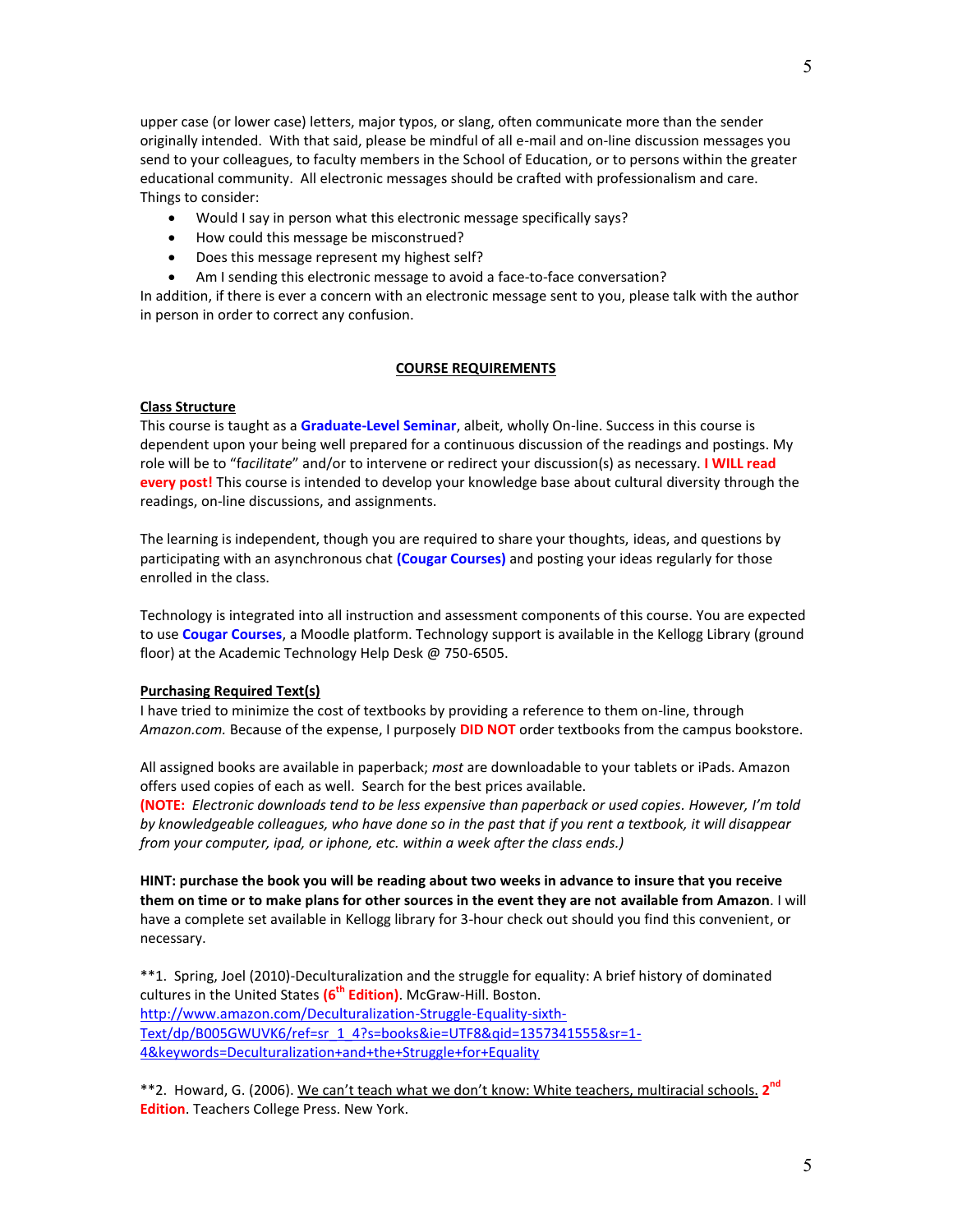upper case (or lower case) letters, major typos, or slang, often communicate more than the sender originally intended. With that said, please be mindful of all e-mail and on-line discussion messages you send to your colleagues, to faculty members in the School of Education, or to persons within the greater educational community. All electronic messages should be crafted with professionalism and care. Things to consider:

- Would I say in person what this electronic message specifically says?
- How could this message be misconstrued?
- Does this message represent my highest self?
- Am I sending this electronic message to avoid a face-to-face conversation?

In addition, if there is ever a concern with an electronic message sent to you, please talk with the author in person in order to correct any confusion.

# **COURSE REQUIREMENTS**

#### **Class Structure**

This course is taught as a **Graduate-Level Seminar**, albeit, wholly On-line. Success in this course is dependent upon your being well prepared for a continuous discussion of the readings and postings. My role will be to "f*acilitate*" and/or to intervene or redirect your discussion(s) as necessary. **I WILL read every post!** This course is intended to develop your knowledge base about cultural diversity through the readings, on-line discussions, and assignments.

The learning is independent, though you are required to share your thoughts, ideas, and questions by participating with an asynchronous chat **(Cougar Courses)** and posting your ideas regularly for those enrolled in the class.

Technology is integrated into all instruction and assessment components of this course. You are expected to use **Cougar Courses**, a Moodle platform. Technology support is available in the Kellogg Library (ground floor) at the Academic Technology Help Desk @ 750-6505.

#### **Purchasing Required Text(s)**

I have tried to minimize the cost of textbooks by providing a reference to them on-line, through *Amazon.com.* Because of the expense, I purposely **DID NOT** order textbooks from the campus bookstore.

All assigned books are available in paperback; *most* are downloadable to your tablets or iPads. Amazon offers used copies of each as well. Search for the best prices available.

**(NOTE:** *Electronic downloads tend to be less expensive than paperback or used copies. However, I'm told by knowledgeable colleagues, who have done so in the past that if you rent a textbook, it will disappear from your computer, ipad, or iphone, etc. within a week after the class ends.)*

**HINT: purchase the book you will be reading about two weeks in advance to insure that you receive them on time or to make plans for other sources in the event they are not available from Amazon**. I will have a complete set available in Kellogg library for 3-hour check out should you find this convenient, or necessary.

\*\*1. Spring, Joel (2010)-Deculturalization and the struggle for equality: A brief history of dominated cultures in the United States **(6th Edition)**. McGraw-Hill. Boston. [http://www.amazon.com/Deculturalization-Struggle-Equality-sixth-](http://www.amazon.com/Deculturalization-Struggle-Equality-sixth-Text/dp/B005GWUVK6/ref=sr_1_4?s=books&ie=UTF8&qid=1357341555&sr=1-4&keywords=Deculturalization+and+the+Struggle+for+Equality)[Text/dp/B005GWUVK6/ref=sr\\_1\\_4?s=books&ie=UTF8&qid=1357341555&sr=1-](http://www.amazon.com/Deculturalization-Struggle-Equality-sixth-Text/dp/B005GWUVK6/ref=sr_1_4?s=books&ie=UTF8&qid=1357341555&sr=1-4&keywords=Deculturalization+and+the+Struggle+for+Equality) [4&keywords=Deculturalization+and+the+Struggle+for+Equality](http://www.amazon.com/Deculturalization-Struggle-Equality-sixth-Text/dp/B005GWUVK6/ref=sr_1_4?s=books&ie=UTF8&qid=1357341555&sr=1-4&keywords=Deculturalization+and+the+Struggle+for+Equality)

\*\*2. Howard, G. (2006). We can't teach what we don't know: White teachers, multiracial schools. **2 nd Edition**. Teachers College Press. New York.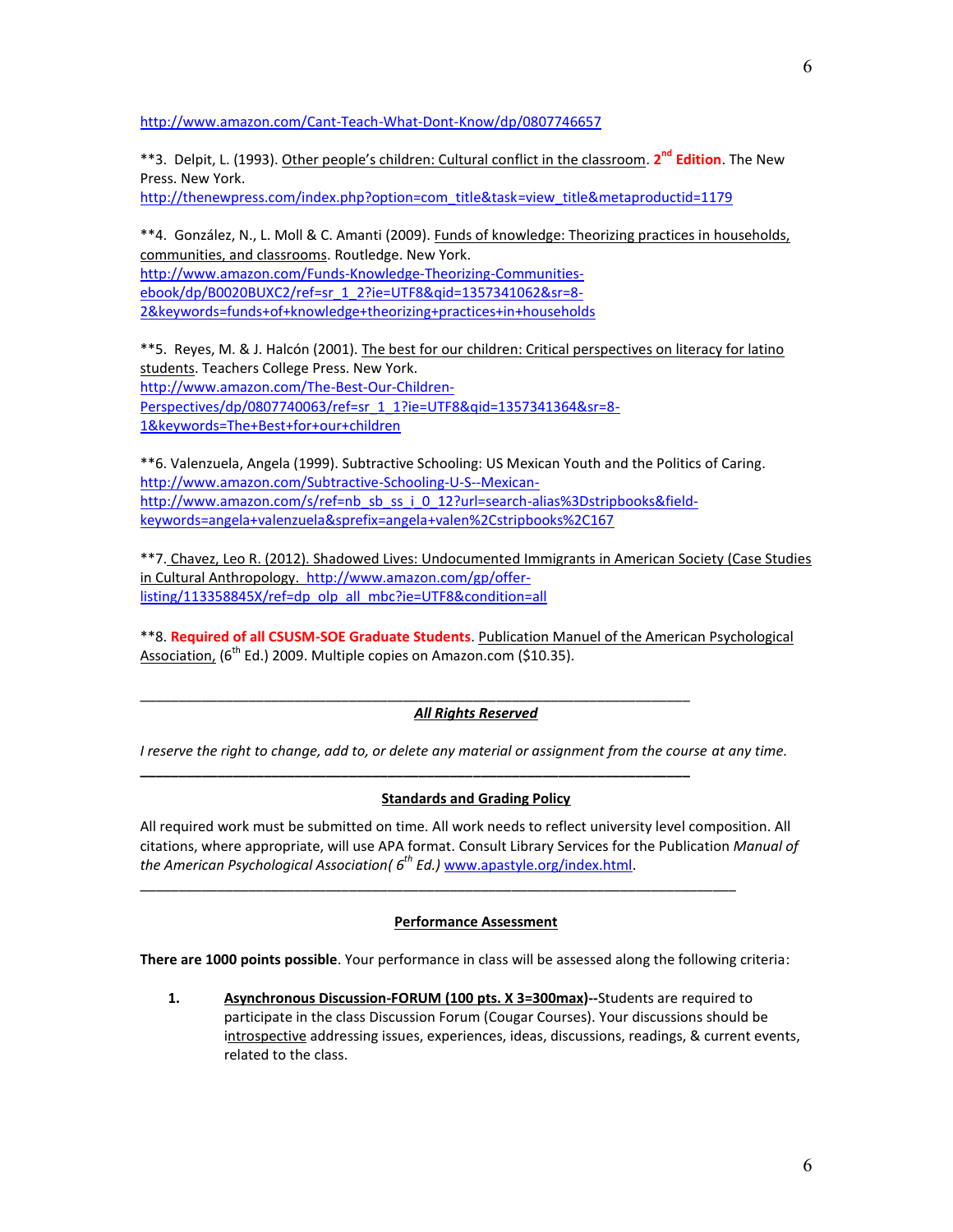<http://www.amazon.com/Cant-Teach-What-Dont-Know/dp/0807746657>

\*\*3. Delpit, L. (1993). Other people's children: Cultural conflict in the classroom. **2 nd Edition**. The New Press. New York. [http://thenewpress.com/index.php?option=com\\_title&task=view\\_title&metaproductid=1179](http://thenewpress.com/index.php?option=com_title&task=view_title&metaproductid=1179)

\*\*4. González, N., L. Moll & C. Amanti (2009). Funds of knowledge: Theorizing practices in households, communities, and classrooms. Routledge. New York. [http://www.amazon.com/Funds-Knowledge-Theorizing-Communities](http://www.amazon.com/Funds-Knowledge-Theorizing-Communities-ebook/dp/B0020BUXC2/ref=sr_1_2?ie=UTF8&qid=1357341062&sr=8-2&keywords=funds+of+knowledge+theorizing+practices+in+households)[ebook/dp/B0020BUXC2/ref=sr\\_1\\_2?ie=UTF8&qid=1357341062&sr=8-](http://www.amazon.com/Funds-Knowledge-Theorizing-Communities-ebook/dp/B0020BUXC2/ref=sr_1_2?ie=UTF8&qid=1357341062&sr=8-2&keywords=funds+of+knowledge+theorizing+practices+in+households) [2&keywords=funds+of+knowledge+theorizing+practices+in+households](http://www.amazon.com/Funds-Knowledge-Theorizing-Communities-ebook/dp/B0020BUXC2/ref=sr_1_2?ie=UTF8&qid=1357341062&sr=8-2&keywords=funds+of+knowledge+theorizing+practices+in+households)

\*\*5. Reyes, M. & J. Halcón (2001). The best for our children: Critical perspectives on literacy for latino students. Teachers College Press. New York. [http://www.amazon.com/The-Best-Our-Children-](http://www.amazon.com/The-Best-Our-Children-Perspectives/dp/0807740063/ref=sr_1_1?ie=UTF8&qid=1357341364&sr=8-1&keywords=The+Best+for+our+children)[Perspectives/dp/0807740063/ref=sr\\_1\\_1?ie=UTF8&qid=1357341364&sr=8-](http://www.amazon.com/The-Best-Our-Children-Perspectives/dp/0807740063/ref=sr_1_1?ie=UTF8&qid=1357341364&sr=8-1&keywords=The+Best+for+our+children) [1&keywords=The+Best+for+our+children](http://www.amazon.com/The-Best-Our-Children-Perspectives/dp/0807740063/ref=sr_1_1?ie=UTF8&qid=1357341364&sr=8-1&keywords=The+Best+for+our+children)

\*\*6. Valenzuela, Angela (1999). Subtractive Schooling: US Mexican Youth and the Politics of Caring. [http://www.amazon.com/Subtractive-Schooling-U-S--Mexican](http://www.amazon.com/Subtractive-Schooling-U-S--Mexican-http:/www.amazon.com/s/ref=nb_sb_ss_i_0_12?url=search-alias%3Dstripbooks&field-keywords=angela+valenzuela&sprefix=angela+valen%2Cstripbooks%2C167)[http://www.amazon.com/s/ref=nb\\_sb\\_ss\\_i\\_0\\_12?url=search-alias%3Dstripbooks&field](http://www.amazon.com/Subtractive-Schooling-U-S--Mexican-http:/www.amazon.com/s/ref=nb_sb_ss_i_0_12?url=search-alias%3Dstripbooks&field-keywords=angela+valenzuela&sprefix=angela+valen%2Cstripbooks%2C167)[keywords=angela+valenzuela&sprefix=angela+valen%2Cstripbooks%2C167](http://www.amazon.com/Subtractive-Schooling-U-S--Mexican-http:/www.amazon.com/s/ref=nb_sb_ss_i_0_12?url=search-alias%3Dstripbooks&field-keywords=angela+valenzuela&sprefix=angela+valen%2Cstripbooks%2C167)

\*\*7. Chavez, Leo R. (2012). Shadowed Lives: Undocumented Immigrants in American Society (Case Studies in Cultural Anthropology. [http://www.amazon.com/gp/offer](http://www.amazon.com/gp/offer-listing/113358845X/ref=dp_olp_all_mbc?ie=UTF8&condition=all)[listing/113358845X/ref=dp\\_olp\\_all\\_mbc?ie=UTF8&condition=all](http://www.amazon.com/gp/offer-listing/113358845X/ref=dp_olp_all_mbc?ie=UTF8&condition=all)

\*\*8. **Required of all CSUSM-SOE Graduate Students**. Publication Manuel of the American Psychological Association,  $(6^{th}$  Ed.) 2009. Multiple copies on Amazon.com (\$10.35).

# *All Rights Reserved*

*I reserve the right to change, add to, or delete any material or assignment from the course at any time.*

\_\_\_\_\_\_\_\_\_\_\_\_\_\_\_\_\_\_\_\_\_\_\_\_\_\_\_\_\_\_\_\_\_\_\_\_\_\_\_\_\_\_\_\_\_\_\_\_\_\_\_\_\_\_\_\_\_\_\_\_\_\_\_\_\_\_\_\_\_\_\_

**\_\_\_\_\_\_\_\_\_\_\_\_\_\_\_\_\_\_\_\_\_\_\_\_\_\_\_\_\_\_\_\_\_\_\_\_\_\_\_\_\_\_\_\_\_\_\_\_\_\_\_\_\_\_\_\_\_\_\_\_\_\_\_\_\_\_\_\_\_\_\_**

# **Standards and Grading Policy**

All required work must be submitted on time. All work needs to reflect university level composition. All citations, where appropriate, will use APA format. Consult Library Services for the Publication *Manual of the American Psychological Association( 6th Ed.)* [www.apastyle.org/index.html.](http://www.apastyle.org/index.html)

\_\_\_\_\_\_\_\_\_\_\_\_\_\_\_\_\_\_\_\_\_\_\_\_\_\_\_\_\_\_\_\_\_\_\_\_\_\_\_\_\_\_\_\_\_\_\_\_\_\_\_\_\_\_\_\_\_\_\_\_\_\_\_\_\_\_\_\_\_\_\_\_\_\_\_\_\_

# **Performance Assessment**

**There are 1000 points possible**. Your performance in class will be assessed along the following criteria:

**1. Asynchronous Discussion-FORUM (100 pts. X 3=300max)--**Students are required to participate in the class Discussion Forum (Cougar Courses). Your discussions should be introspective addressing issues, experiences, ideas, discussions, readings, & current events, related to the class.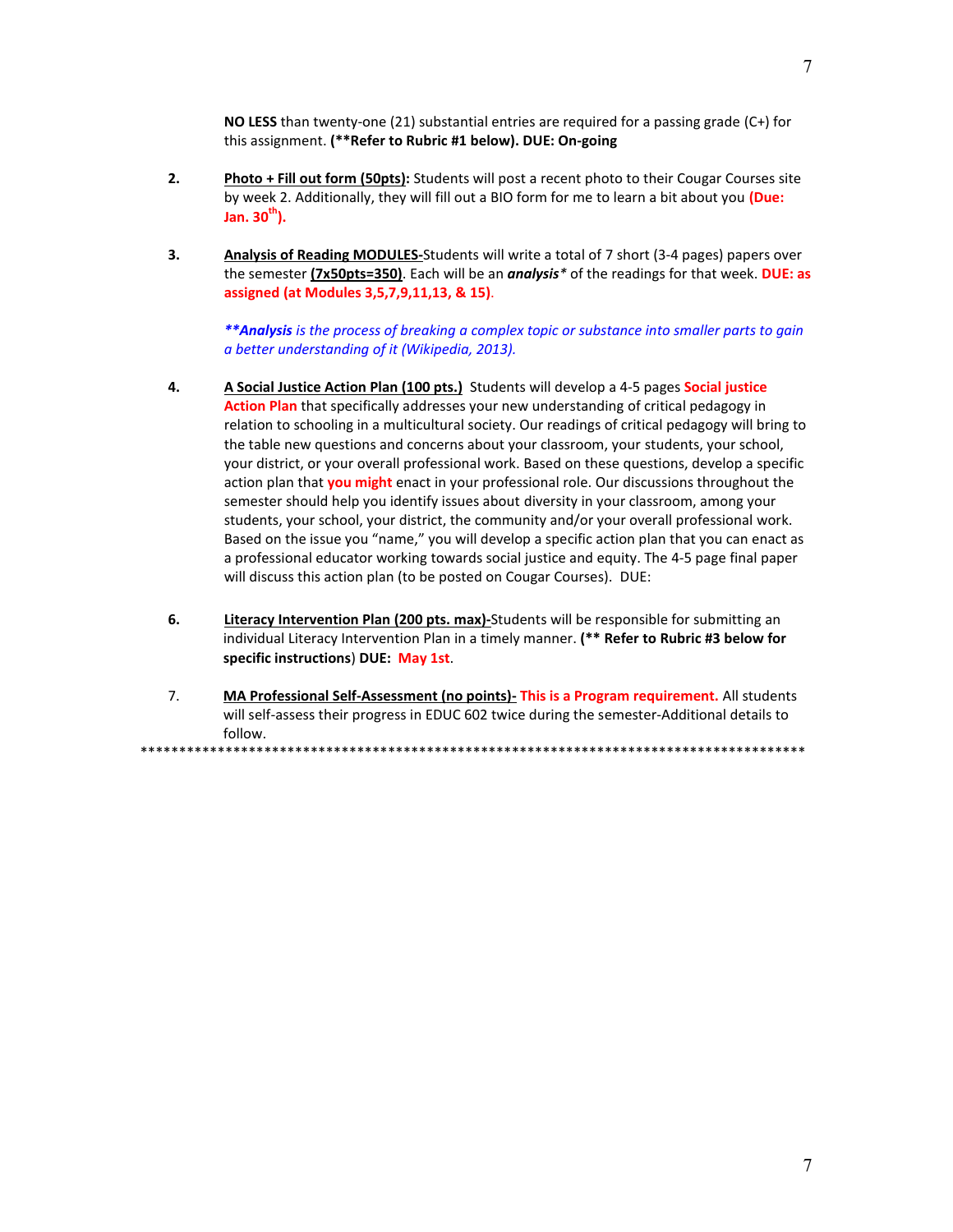**NO LESS** than twenty-one (21) substantial entries are required for a passing grade (C+) for this assignment. **(\*\*Refer to Rubric #1 below). DUE: On-going**

- **2. Photo + Fill out form (50pts):** Students will post a recent photo to their Cougar Courses site by week 2. Additionally, they will fill out a BIO form for me to learn a bit about you **(Due: Jan. 30th).**
- **3. Analysis of Reading MODULES-**Students will write a total of 7 short (3-4 pages) papers over the semester **(7x50pts=350)**. Each will be an *analysis\** of the readings for that week. **DUE: as assigned (at Modules 3,5,7,9,11,13, & 15)**.

*\*\*Analysis is the process of breaking a [complex topic](http://en.wikipedia.org/wiki/Complexity) or substance into smaller parts to gain a better understanding of it (Wikipedia, 2013).*

- **4. A Social Justice Action Plan (100 pts.)** Students will develop a 4-5 pages **Social justice Action Plan** that specifically addresses your new understanding of critical pedagogy in relation to schooling in a multicultural society. Our readings of critical pedagogy will bring to the table new questions and concerns about your classroom, your students, your school, your district, or your overall professional work. Based on these questions, develop a specific action plan that **you might** enact in your professional role. Our discussions throughout the semester should help you identify issues about diversity in your classroom, among your students, your school, your district, the community and/or your overall professional work. Based on the issue you "name," you will develop a specific action plan that you can enact as a professional educator working towards social justice and equity. The 4-5 page final paper will discuss this action plan (to be posted on Cougar Courses). DUE:
- **6. Literacy Intervention Plan (200 pts. max)-**Students will be responsible for submitting an individual Literacy Intervention Plan in a timely manner. **(\*\* Refer to Rubric #3 below for specific instructions**) **DUE: May 1st**.
- 7. **MA Professional Self-Assessment (no points)- This is a Program requirement.** All students will self-assess their progress in EDUC 602 twice during the semester-Additional details to follow. \*\*\*\*\*\*\*\*\*\*\*\*\*\*\*\*\*\*\*\*\*\*\*\*\*\*\*\*\*\*\*\*\*\*\*\*\*\*\*\*\*\*\*\*\*\*\*\*\*\*\*\*\*\*\*\*\*\*\*\*\*\*\*\*\*\*\*\*\*\*\*\*\*\*\*\*\*\*\*\*\*\*\*\*\*\*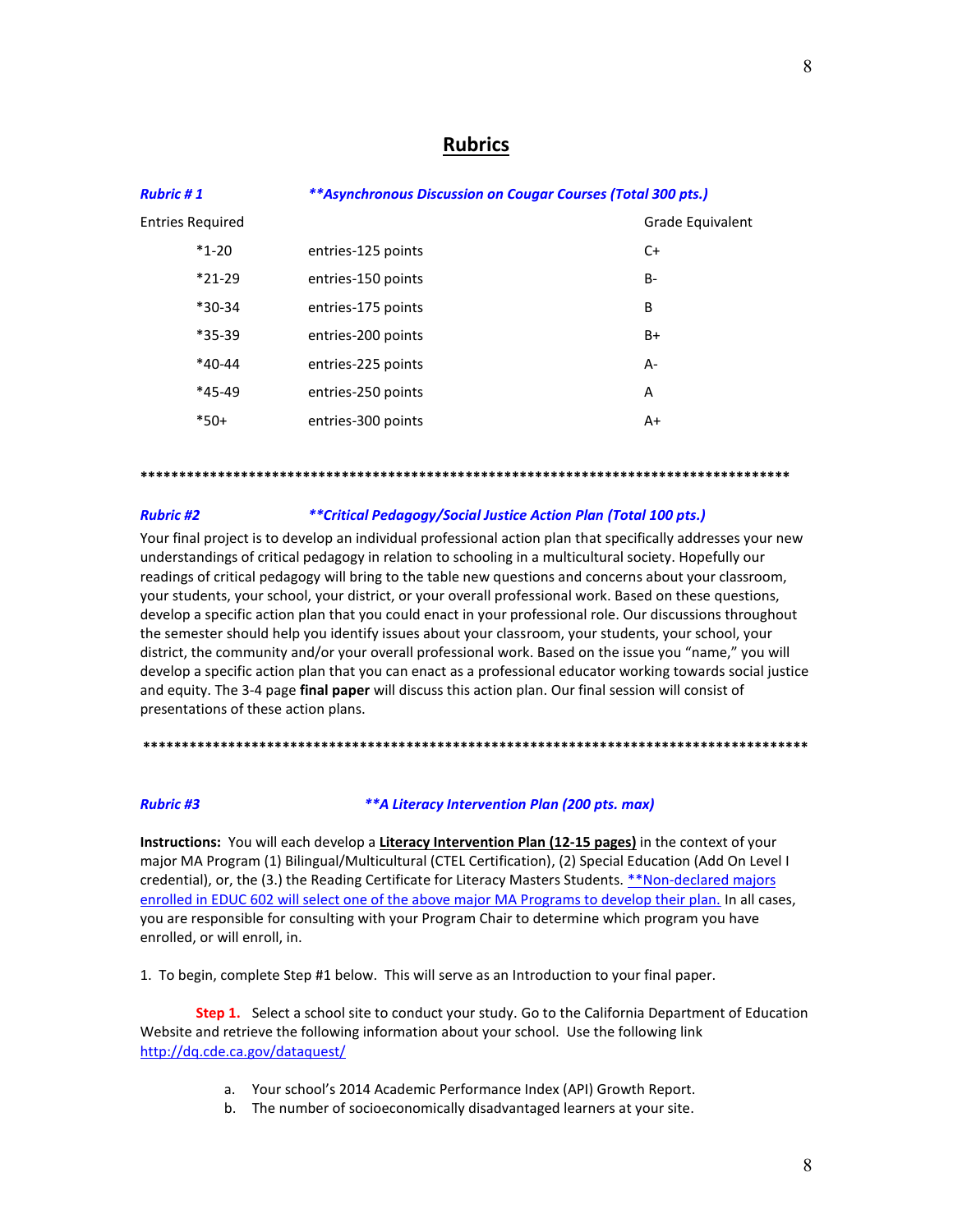# **Rubrics**

| Rubric # 1 | ** Asynchronous Discussion on Cougar Courses (Total 300 pts.) |  |  |  |
|------------|---------------------------------------------------------------|--|--|--|
|            |                                                               |  |  |  |

| <b>Entries Required</b> |                    | Grade Equivalent |
|-------------------------|--------------------|------------------|
| $*1-20$                 | entries-125 points | $C+$             |
| $*21-29$                | entries-150 points | B-               |
| $*30-34$                | entries-175 points | B                |
| $*35-39$                | entries-200 points | B+               |
| $*40-44$                | entries-225 points | $A -$            |
| $*45-49$                | entries-250 points | A                |
| $*50+$                  | entries-300 points | A+               |
|                         |                    |                  |

#### **\*\*\*\*\*\*\*\*\*\*\*\*\*\*\*\*\*\*\*\*\*\*\*\*\*\*\*\*\*\*\*\*\*\*\*\*\*\*\*\*\*\*\*\*\*\*\*\*\*\*\*\*\*\*\*\*\*\*\*\*\*\*\*\*\*\*\*\*\*\*\*\*\*\*\*\*\*\*\*\*\*\*\*\***

### *Rubric #2 \*\*Critical Pedagogy/Social Justice Action Plan (Total 100 pts.)*

Your final project is to develop an individual professional action plan that specifically addresses your new understandings of critical pedagogy in relation to schooling in a multicultural society. Hopefully our readings of critical pedagogy will bring to the table new questions and concerns about your classroom, your students, your school, your district, or your overall professional work. Based on these questions, develop a specific action plan that you could enact in your professional role. Our discussions throughout the semester should help you identify issues about your classroom, your students, your school, your district, the community and/or your overall professional work. Based on the issue you "name," you will develop a specific action plan that you can enact as a professional educator working towards social justice and equity. The 3-4 page **final paper** will discuss this action plan. Our final session will consist of presentations of these action plans.

**\*\*\*\*\*\*\*\*\*\*\*\*\*\*\*\*\*\*\*\*\*\*\*\*\*\*\*\*\*\*\*\*\*\*\*\*\*\*\*\*\*\*\*\*\*\*\*\*\*\*\*\*\*\*\*\*\*\*\*\*\*\*\*\*\*\*\*\*\*\*\*\*\*\*\*\*\*\*\*\*\*\*\*\*\*\***

# *Rubric #3 \*\*A Literacy Intervention Plan (200 pts. max)*

**Instructions:** You will each develop a **Literacy Intervention Plan (12-15 pages)** in the context of your major MA Program (1) Bilingual/Multicultural (CTEL Certification), (2) Special Education (Add On Level I credential), or, the (3.) the Reading Certificate for Literacy Masters Students. \*\*Non-declared majors enrolled in EDUC 602 will select one of the above major MA Programs to develop their plan. In all cases, you are responsible for consulting with your Program Chair to determine which program you have enrolled, or will enroll, in.

1. To begin, complete Step #1 below. This will serve as an Introduction to your final paper.

**Step 1.** Select a school site to conduct your study. Go to the California Department of Education Website and retrieve the following information about your school. Use the following link <http://dq.cde.ca.gov/dataquest/>

- a. Your school's 2014 Academic Performance Index (API) Growth Report.
- b. The number of socioeconomically disadvantaged learners at your site.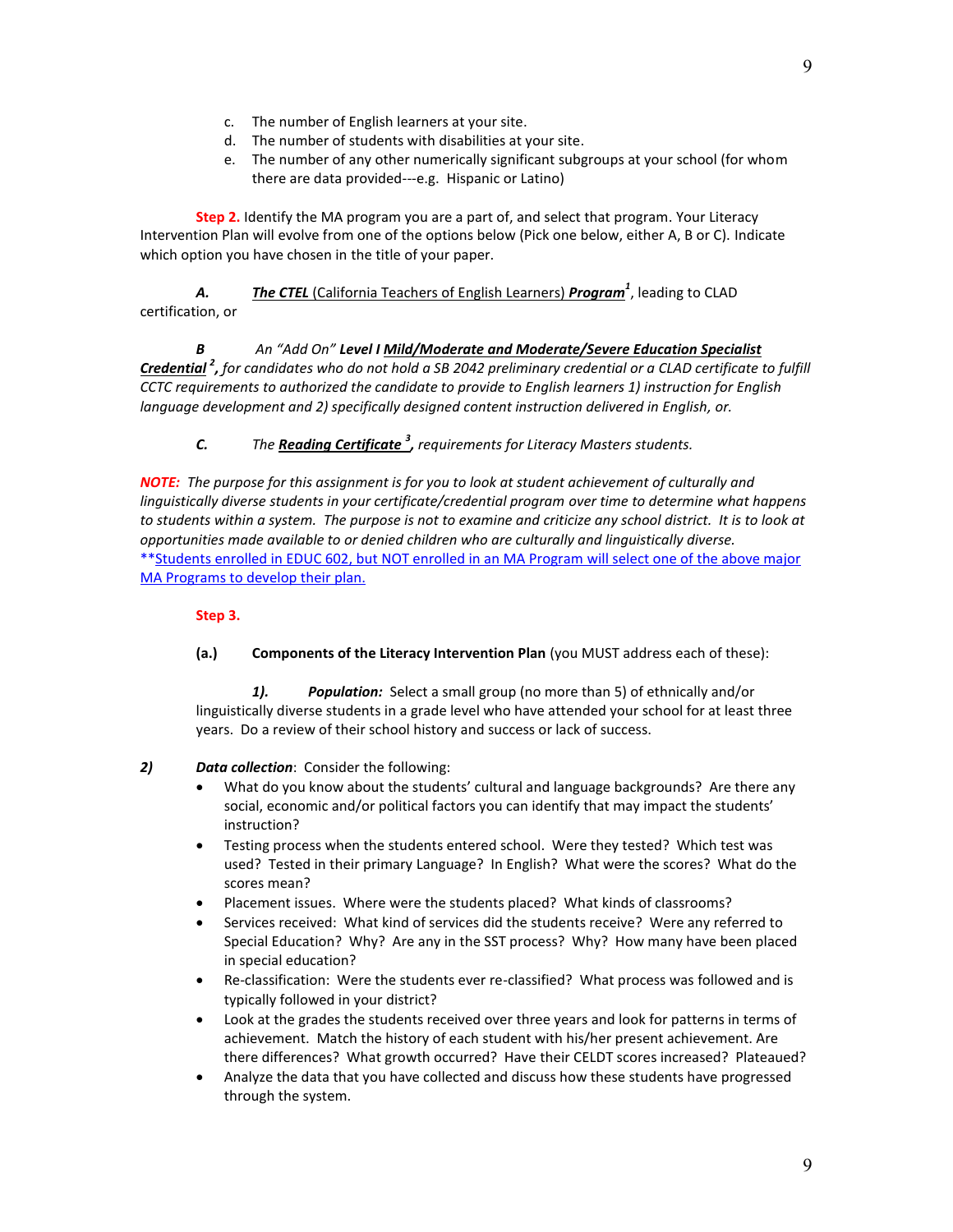9

- c. The number of English learners at your site.
- d. The number of students with disabilities at your site.
- e. The number of any other numerically significant subgroups at your school (for whom there are data provided---e.g. Hispanic or Latino)

**Step 2.** Identify the MA program you are a part of, and select that program. Your Literacy Intervention Plan will evolve from one of the options below (Pick one below, either A, B or C). Indicate which option you have chosen in the title of your paper.

*A. The CTEL* (California Teachers of English Learners) *Program<sup>1</sup>* , leading to CLAD certification, or

*B An "Add On" Level I Mild/Moderate and Moderate/Severe Education Specialist Credential <sup>2</sup> , for candidates who do not hold a SB 2042 preliminary credential or a CLAD certificate to fulfill CCTC requirements to authorized the candidate to provide to English learners 1) instruction for English language development and 2) specifically designed content instruction delivered in English, or.*

*C. The Reading Certificate <sup>3</sup> , requirements for Literacy Masters students.*

*NOTE: The purpose for this assignment is for you to look at student achievement of culturally and linguistically diverse students in your certificate/credential program over time to determine what happens*  to students within a system. The purpose is not to examine and criticize any school district. It is to look at *opportunities made available to or denied children who are culturally and linguistically diverse.*  \*\*Students enrolled in EDUC 602, but NOT enrolled in an MA Program will select one of the above major MA Programs to develop their plan.

# **Step 3.**

**(a.) Components of the Literacy Intervention Plan** (you MUST address each of these):

*1). Population:* Select a small group (no more than 5) of ethnically and/or linguistically diverse students in a grade level who have attended your school for at least three years. Do a review of their school history and success or lack of success.

- *2) Data collection*: Consider the following:
	- What do you know about the students' cultural and language backgrounds? Are there any social, economic and/or political factors you can identify that may impact the students' instruction?
	- Testing process when the students entered school. Were they tested? Which test was used? Tested in their primary Language? In English? What were the scores? What do the scores mean?
	- Placement issues. Where were the students placed? What kinds of classrooms?
	- Services received: What kind of services did the students receive? Were any referred to Special Education? Why? Are any in the SST process? Why? How many have been placed in special education?
	- Re-classification: Were the students ever re-classified? What process was followed and is typically followed in your district?
	- Look at the grades the students received over three years and look for patterns in terms of achievement. Match the history of each student with his/her present achievement. Are there differences? What growth occurred? Have their CELDT scores increased? Plateaued?
	- Analyze the data that you have collected and discuss how these students have progressed through the system.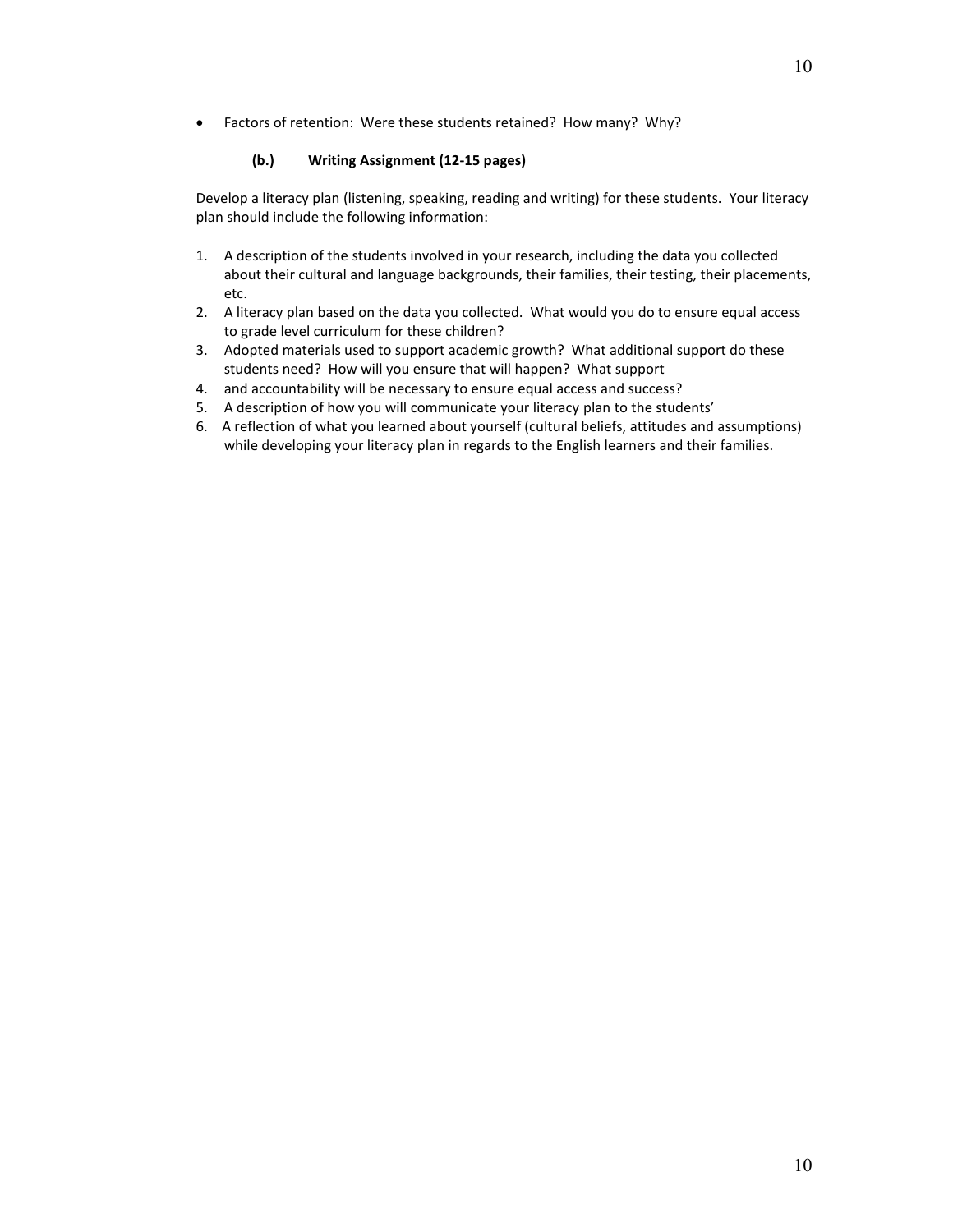• Factors of retention: Were these students retained? How many? Why?

# **(b.) Writing Assignment (12-15 pages)**

Develop a literacy plan (listening, speaking, reading and writing) for these students. Your literacy plan should include the following information:

- 1. A description of the students involved in your research, including the data you collected about their cultural and language backgrounds, their families, their testing, their placements, etc.
- 2. A literacy plan based on the data you collected. What would you do to ensure equal access to grade level curriculum for these children?
- 3. Adopted materials used to support academic growth? What additional support do these students need? How will you ensure that will happen? What support
- 4. and accountability will be necessary to ensure equal access and success?
- 5. A description of how you will communicate your literacy plan to the students'
- 6. A reflection of what you learned about yourself (cultural beliefs, attitudes and assumptions) while developing your literacy plan in regards to the English learners and their families.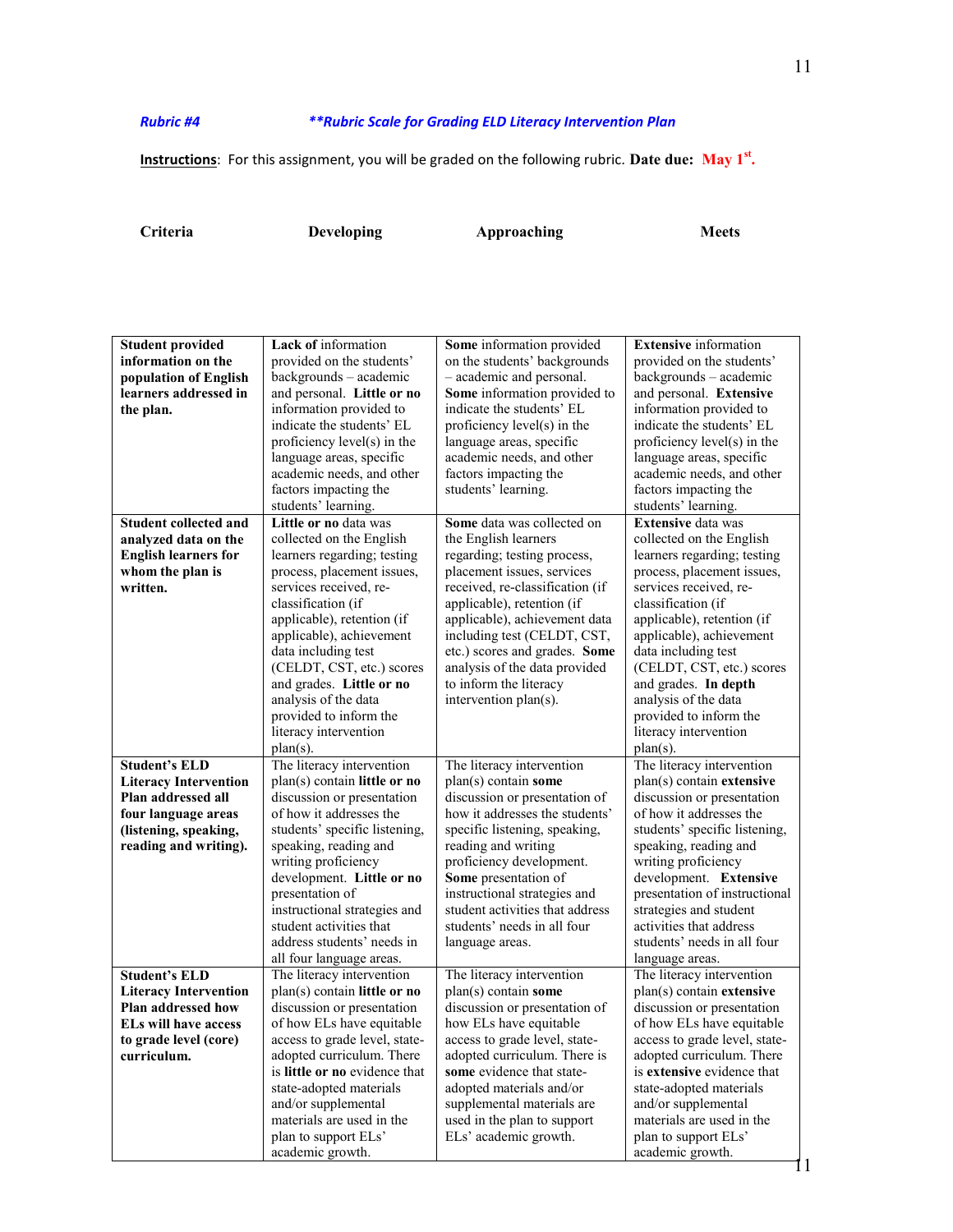# *Rubric #4 \*\*Rubric Scale for Grading ELD Literacy Intervention Plan*

**Instructions**: For this assignment, you will be graded on the following rubric. **Date due: May 1st .**

**Criteria Developing Approaching Meets**

| <b>Student provided</b>      | <b>Lack of information</b>    | Some information provided       | <b>Extensive</b> information      |  |
|------------------------------|-------------------------------|---------------------------------|-----------------------------------|--|
| information on the           | provided on the students'     | on the students' backgrounds    | provided on the students'         |  |
| population of English        | backgrounds - academic        | - academic and personal.        | backgrounds - academic            |  |
| learners addressed in        | and personal. Little or no    | Some information provided to    | and personal. Extensive           |  |
| the plan.                    | information provided to       | indicate the students' EL       | information provided to           |  |
|                              | indicate the students' EL     | proficiency level(s) in the     | indicate the students' EL         |  |
|                              | proficiency level(s) in the   | language areas, specific        | proficiency level(s) in the       |  |
|                              | language areas, specific      | academic needs, and other       | language areas, specific          |  |
|                              | academic needs, and other     | factors impacting the           | academic needs, and other         |  |
|                              | factors impacting the         | students' learning.             | factors impacting the             |  |
|                              | students' learning.           |                                 | students' learning.               |  |
| <b>Student collected and</b> | Little or no data was         | Some data was collected on      | <b>Extensive</b> data was         |  |
| analyzed data on the         | collected on the English      | the English learners            | collected on the English          |  |
| <b>English learners for</b>  | learners regarding; testing   | regarding; testing process,     | learners regarding; testing       |  |
| whom the plan is             | process, placement issues,    | placement issues, services      | process, placement issues,        |  |
| written.                     | services received, re-        | received, re-classification (if | services received, re-            |  |
|                              | classification (if            | applicable), retention (if      | classification (if                |  |
|                              | applicable), retention (if    | applicable), achievement data   | applicable), retention (if        |  |
|                              | applicable), achievement      | including test (CELDT, CST,     | applicable), achievement          |  |
|                              | data including test           | etc.) scores and grades. Some   | data including test               |  |
|                              | (CELDT, CST, etc.) scores     | analysis of the data provided   | (CELDT, CST, etc.) scores         |  |
|                              | and grades. Little or no      | to inform the literacy          | and grades. In depth              |  |
|                              | analysis of the data          | intervention plan(s).           | analysis of the data              |  |
|                              | provided to inform the        |                                 | provided to inform the            |  |
|                              | literacy intervention         |                                 | literacy intervention             |  |
|                              | $plan(s)$ .                   |                                 | plan(s).                          |  |
| <b>Student's ELD</b>         | The literacy intervention     | The literacy intervention       | The literacy intervention         |  |
| <b>Literacy Intervention</b> | plan(s) contain little or no  | plan(s) contain some            | plan(s) contain extensive         |  |
| Plan addressed all           | discussion or presentation    | discussion or presentation of   | discussion or presentation        |  |
| four language areas          | of how it addresses the       | how it addresses the students'  | of how it addresses the           |  |
| (listening, speaking,        | students' specific listening, | specific listening, speaking,   | students' specific listening,     |  |
| reading and writing).        | speaking, reading and         | reading and writing             | speaking, reading and             |  |
|                              | writing proficiency           | proficiency development.        | writing proficiency               |  |
|                              | development. Little or no     | Some presentation of            | development. Extensive            |  |
|                              | presentation of               | instructional strategies and    | presentation of instructional     |  |
|                              | instructional strategies and  | student activities that address | strategies and student            |  |
|                              | student activities that       | students' needs in all four     | activities that address           |  |
|                              | address students' needs in    | language areas.                 | students' needs in all four       |  |
|                              | all four language areas.      |                                 | language areas.                   |  |
| <b>Student's ELD</b>         | The literacy intervention     | The literacy intervention       | The literacy intervention         |  |
| <b>Literacy Intervention</b> | plan(s) contain little or no  | plan(s) contain some            | plan(s) contain extensive         |  |
| Plan addressed how           | discussion or presentation    | discussion or presentation of   | discussion or presentation        |  |
| ELs will have access         | of how ELs have equitable     | how ELs have equitable          | of how ELs have equitable         |  |
| to grade level (core)        | access to grade level, state- | access to grade level, state-   | access to grade level, state-     |  |
| curriculum.                  | adopted curriculum. There     | adopted curriculum. There is    | adopted curriculum. There         |  |
|                              | is little or no evidence that | some evidence that state-       | is <b>extensive</b> evidence that |  |
|                              | state-adopted materials       | adopted materials and/or        | state-adopted materials           |  |
|                              | and/or supplemental           | supplemental materials are      | and/or supplemental               |  |
|                              | materials are used in the     | used in the plan to support     | materials are used in the         |  |
|                              | plan to support ELs'          | ELs' academic growth.           | plan to support ELs'              |  |
|                              | academic growth.              |                                 | academic growth.                  |  |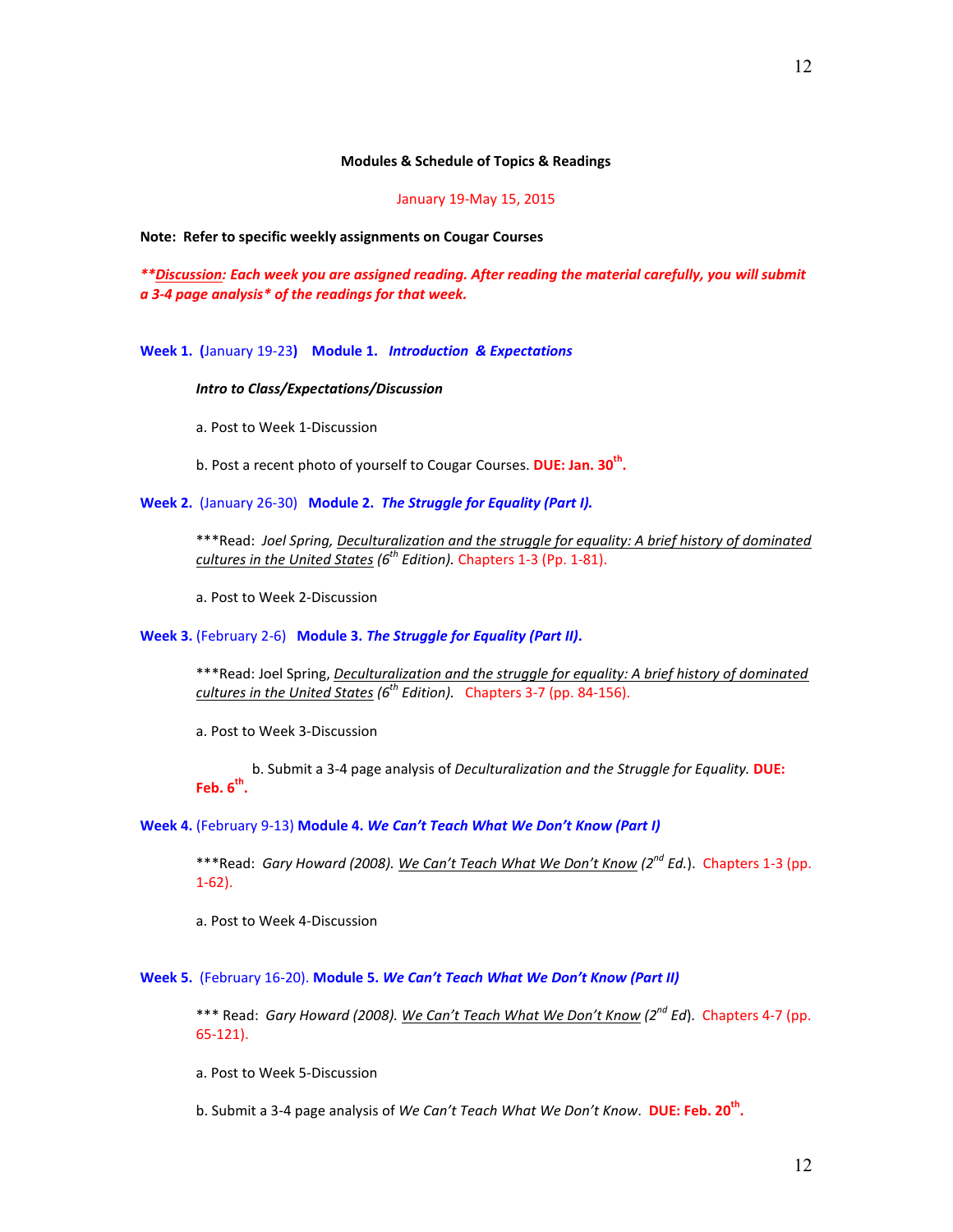# **Modules & Schedule of Topics & Readings**

January 19-May 15, 2015

**Note: Refer to specific weekly assignments on Cougar Courses**

*\*\*Discussion: Each week you are assigned reading. After reading the material carefully, you will submit a 3-4 page analysis\* of the readings for that week.* 

**Week 1. (**January 19-23**) Module 1.** *Introduction & Expectations*

### *Intro to Class/Expectations/Discussion*

a. Post to Week 1-Discussion

b. Post a recent photo of yourself to Cougar Courses. **DUE: Jan. 30th .**

**Week 2.** (January 26-30) **Module 2.** *The Struggle for Equality (Part I).*

\*\*\*Read: *Joel Spring, Deculturalization and the struggle for equality: A brief history of dominated cultures in the United States (6th Edition).* Chapters 1-3 (Pp. 1-81).

a. Post to Week 2-Discussion

**Week 3.** (February 2-6) **Module 3.** *The Struggle for Equality (Part II)***.**

\*\*\*Read: Joel Spring, *Deculturalization and the struggle for equality: A brief history of dominated cultures in the United States (6th Edition).* Chapters 3-7 (pp. 84-156).

a. Post to Week 3-Discussion

b. Submit a 3-4 page analysis of *Deculturalization and the Struggle for Equality.* **DUE: Feb. 6th .**

**Week 4.** (February 9-13) **Module 4.** *We Can't Teach What We Don't Know (Part I)*

\*\*\*Read: *Gary Howard (2008). We Can't Teach What We Don't Know (2nd Ed.*). Chapters 1-3 (pp. 1-62).

a. Post to Week 4-Discussion

**Week 5.** (February 16-20). **Module 5.** *We Can't Teach What We Don't Know (Part II)*

\*\*\* Read: *Gary Howard (2008). We Can't Teach What We Don't Know (2nd Ed*). Chapters 4-7 (pp. 65-121).

a. Post to Week 5-Discussion

b. Submit a 3-4 page analysis of *We Can't Teach What We Don't Know*. **DUE: Feb. 20th .**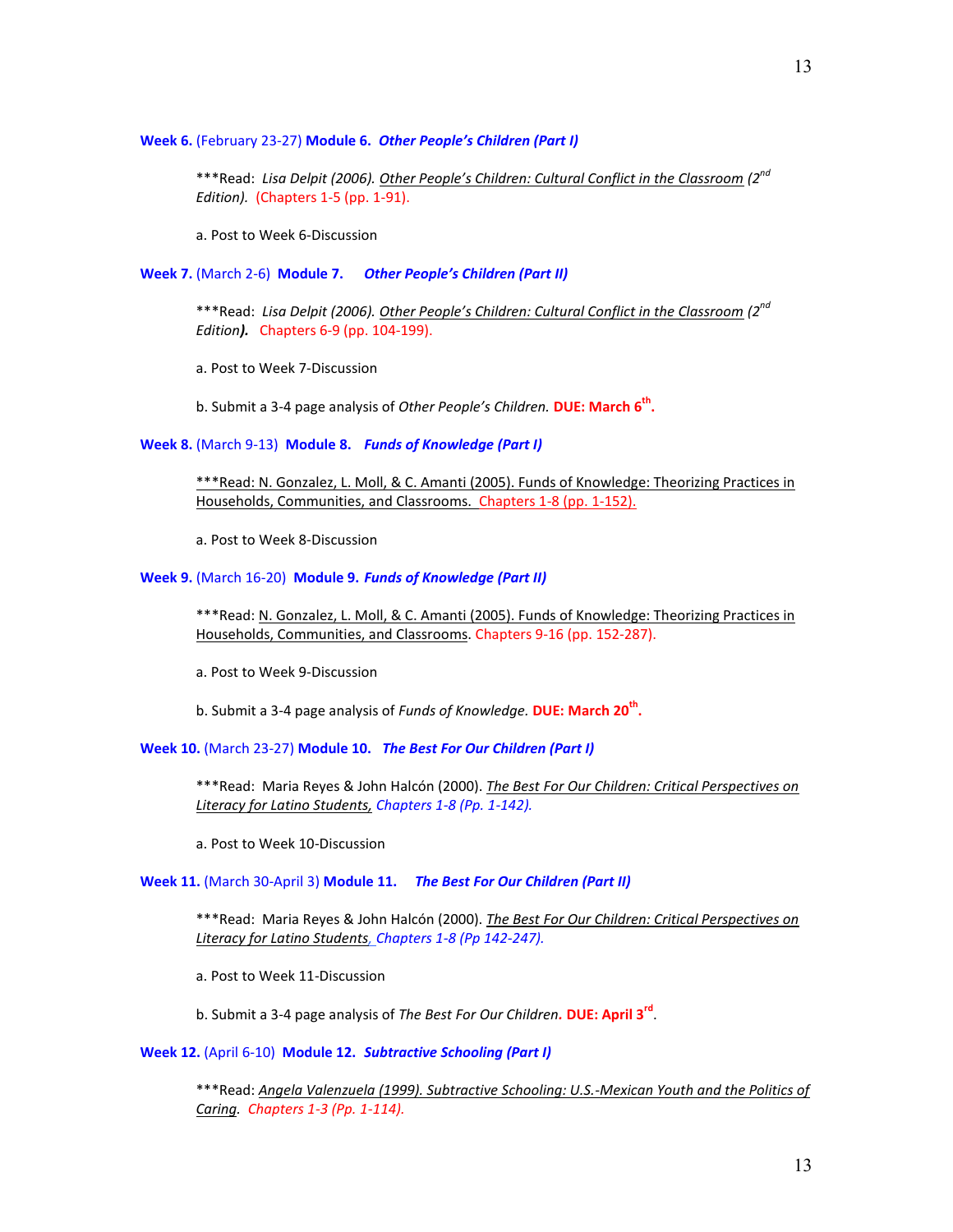\*\*\*Read: *Lisa Delpit (2006). Other People's Children: Cultural Conflict in the Classroom (2nd Edition).* (Chapters 1-5 (pp. 1-91).

a. Post to Week 6-Discussion

**Week 7.** (March 2-6) **Module 7.** *Other People's Children (Part II)*

\*\*\*Read: *Lisa Delpit (2006). Other People's Children: Cultural Conflict in the Classroom (2nd Edition).* Chapters 6-9 (pp. 104-199).

a. Post to Week 7-Discussion

b. Submit a 3-4 page analysis of *Other People's Children.* **DUE: March 6th .**

# **Week 8.** (March 9-13) **Module 8.** *Funds of Knowledge (Part I)*

\*\*\*Read: N. Gonzalez, L. Moll, & C. Amanti (2005). Funds of Knowledge: Theorizing Practices in Households, Communities, and Classrooms. Chapters 1-8 (pp. 1-152).

a. Post to Week 8-Discussion

#### **Week 9.** (March 16-20) **Module 9.** *Funds of Knowledge (Part II)*

\*\*\*Read: N. Gonzalez, L. Moll, & C. Amanti (2005). Funds of Knowledge: Theorizing Practices in Households, Communities, and Classrooms. Chapters 9-16 (pp. 152-287).

a. Post to Week 9-Discussion

b. Submit a 3-4 page analysis of *Funds of Knowledge.* **DUE: March 20th .**

**Week 10.** (March 23-27) **Module 10.** *The Best For Our Children (Part I)*

\*\*\*Read: Maria Reyes & John Halcón (2000). *The Best For Our Children: Critical Perspectives on Literacy for Latino Students, Chapters 1-8 (Pp. 1-142).*

a. Post to Week 10-Discussion

**Week 11.** (March 30-April 3) **Module 11.** *The Best For Our Children (Part II)*

\*\*\*Read: Maria Reyes & John Halcón (2000). *The Best For Our Children: Critical Perspectives on Literacy for Latino Students, Chapters 1-8 (Pp 142-247).*

a. Post to Week 11-Discussion

b. Submit a 3-4 page analysis of *The Best For Our Children.* **DUE: April 3 rd** .

# **Week 12.** (April 6-10) **Module 12.** *Subtractive Schooling (Part I)*

\*\*\*Read: *Angela Valenzuela (1999). Subtractive Schooling: U.S.-Mexican Youth and the Politics of Caring. Chapters 1-3 (Pp. 1-114).*